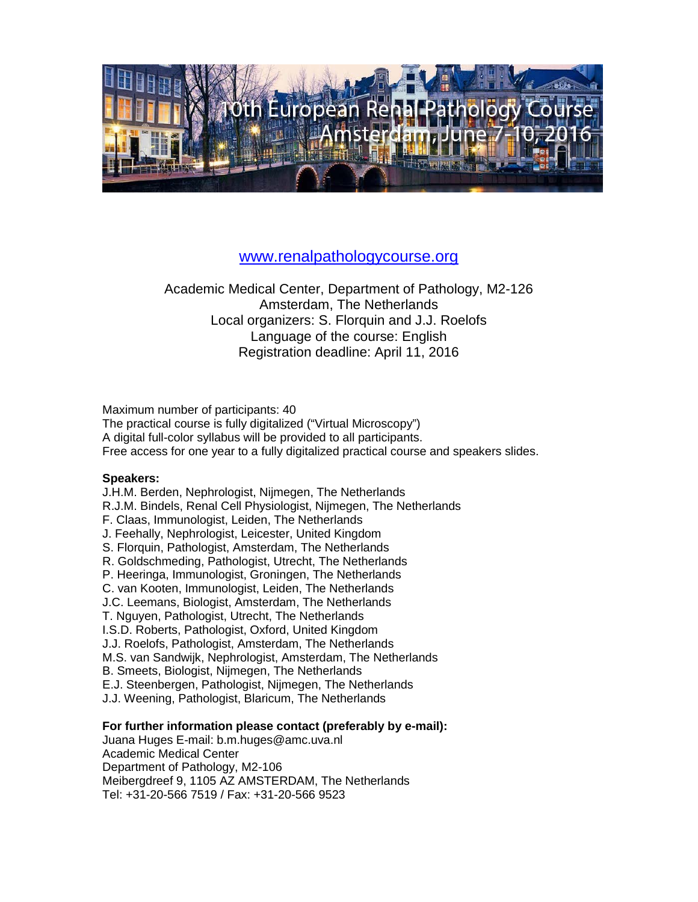

### [www.renalpathologycourse.org](http://www.renalpathologycourse.org/)

### Academic Medical Center, Department of Pathology, M2-126 Amsterdam, The Netherlands Local organizers: S. Florquin and J.J. Roelofs Language of the course: English Registration deadline: April 11, 2016

Maximum number of participants: 40

The practical course is fully digitalized ("Virtual Microscopy") A digital full-color syllabus will be provided to all participants. Free access for one year to a fully digitalized practical course and speakers slides.

#### **Speakers:**

J.H.M. Berden, Nephrologist, Nijmegen, The Netherlands

R.J.M. Bindels, Renal Cell Physiologist, Nijmegen, The Netherlands

F. Claas, Immunologist, Leiden, The Netherlands

J. Feehally, Nephrologist, Leicester, United Kingdom

S. Florquin, Pathologist, Amsterdam, The Netherlands

R. Goldschmeding, Pathologist, Utrecht, The Netherlands

P. Heeringa, Immunologist, Groningen, The Netherlands

C. van Kooten, Immunologist, Leiden, The Netherlands

J.C. Leemans, Biologist, Amsterdam, The Netherlands

T. Nguyen, Pathologist, Utrecht, The Netherlands

I.S.D. Roberts, Pathologist, Oxford, United Kingdom

J.J. Roelofs, Pathologist, Amsterdam, The Netherlands

M.S. van Sandwijk, Nephrologist, Amsterdam, The Netherlands

B. Smeets, Biologist, Nijmegen, The Netherlands

E.J. Steenbergen, Pathologist, Nijmegen, The Netherlands

J.J. Weening, Pathologist, Blaricum, The Netherlands

#### **For further information please contact (preferably by e-mail):**

Juana Huges E-mail: b.m.huges@amc.uva.nl Academic Medical Center Department of Pathology, M2-106 Meibergdreef 9, 1105 AZ AMSTERDAM, The Netherlands Tel: +31-20-566 7519 / Fax: +31-20-566 9523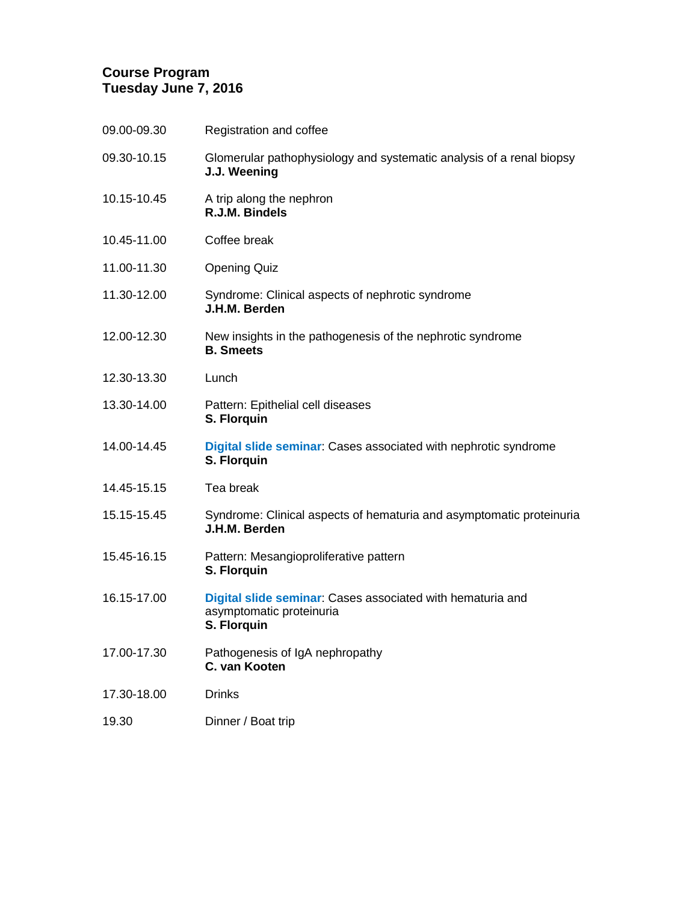### **Course Program Tuesday June 7, 2016**

| Glomerular pathophysiology and systematic analysis of a renal biopsy                                         |
|--------------------------------------------------------------------------------------------------------------|
| J.J. Weening                                                                                                 |
| A trip along the nephron<br>R.J.M. Bindels                                                                   |
| Coffee break                                                                                                 |
| <b>Opening Quiz</b>                                                                                          |
| Syndrome: Clinical aspects of nephrotic syndrome<br>J.H.M. Berden                                            |
| New insights in the pathogenesis of the nephrotic syndrome<br><b>B.</b> Smeets                               |
| Lunch                                                                                                        |
| Pattern: Epithelial cell diseases<br>S. Florquin                                                             |
| <b>Digital slide seminar:</b> Cases associated with nephrotic syndrome<br>S. Florquin                        |
| Tea break                                                                                                    |
| Syndrome: Clinical aspects of hematuria and asymptomatic proteinuria<br>J.H.M. Berden                        |
| Pattern: Mesangioproliferative pattern<br>S. Florquin                                                        |
| Digital slide seminar: Cases associated with hematuria and<br>asymptomatic proteinuria<br><b>S. Florguin</b> |
| Pathogenesis of IgA nephropathy<br>C. van Kooten                                                             |
| <b>Drinks</b>                                                                                                |
| Dinner / Boat trip                                                                                           |
|                                                                                                              |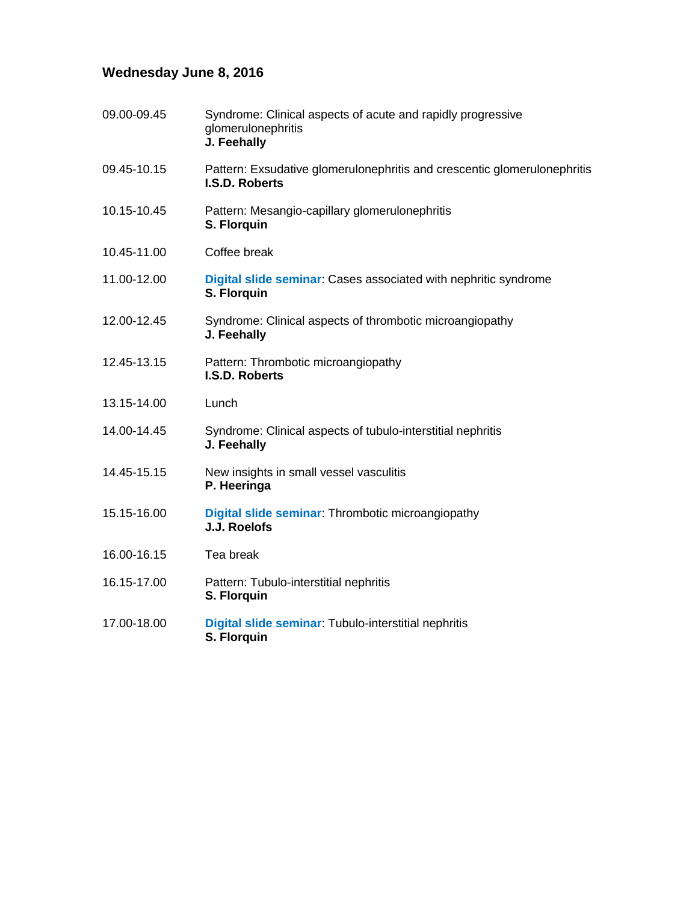# **Wednesday June 8, 2016**

| 09.00-09.45 | Syndrome: Clinical aspects of acute and rapidly progressive<br>glomerulonephritis<br>J. Feehally |
|-------------|--------------------------------------------------------------------------------------------------|
| 09.45-10.15 | Pattern: Exsudative glomerulonephritis and crescentic glomerulonephritis<br>I.S.D. Roberts       |
| 10.15-10.45 | Pattern: Mesangio-capillary glomerulonephritis<br>S. Florquin                                    |
| 10.45-11.00 | Coffee break                                                                                     |
| 11.00-12.00 | Digital slide seminar: Cases associated with nephritic syndrome<br>S. Florquin                   |
| 12.00-12.45 | Syndrome: Clinical aspects of thrombotic microangiopathy<br>J. Feehally                          |
| 12.45-13.15 | Pattern: Thrombotic microangiopathy<br><b>I.S.D. Roberts</b>                                     |
| 13.15-14.00 | Lunch                                                                                            |
| 14.00-14.45 | Syndrome: Clinical aspects of tubulo-interstitial nephritis<br>J. Feehally                       |
| 14.45-15.15 | New insights in small vessel vasculitis<br>P. Heeringa                                           |
| 15.15-16.00 | Digital slide seminar: Thrombotic microangiopathy<br>J.J. Roelofs                                |
| 16.00-16.15 | Tea break                                                                                        |
| 16.15-17.00 | Pattern: Tubulo-interstitial nephritis<br>S. Florquin                                            |
| 17.00-18.00 | Digital slide seminar: Tubulo-interstitial nephritis<br>S. Florquin                              |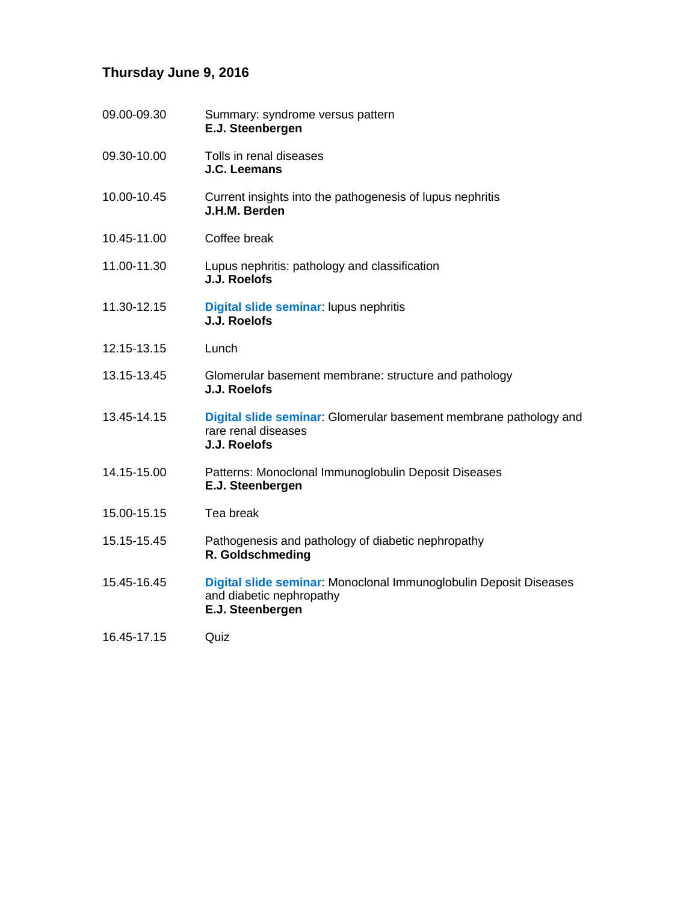# **Thursday June 9, 2016**

| 09.00-09.30 | Summary: syndrome versus pattern<br>E.J. Steenbergen                                                              |
|-------------|-------------------------------------------------------------------------------------------------------------------|
| 09.30-10.00 | Tolls in renal diseases<br>J.C. Leemans                                                                           |
| 10.00-10.45 | Current insights into the pathogenesis of lupus nephritis<br>J.H.M. Berden                                        |
| 10.45-11.00 | Coffee break                                                                                                      |
| 11.00-11.30 | Lupus nephritis: pathology and classification<br>J.J. Roelofs                                                     |
| 11.30-12.15 | Digital slide seminar: lupus nephritis<br>J.J. Roelofs                                                            |
| 12.15-13.15 | Lunch                                                                                                             |
| 13.15-13.45 | Glomerular basement membrane: structure and pathology<br>J.J. Roelofs                                             |
| 13.45-14.15 | Digital slide seminar: Glomerular basement membrane pathology and<br>rare renal diseases<br>J.J. Roelofs          |
| 14.15-15.00 | Patterns: Monoclonal Immunoglobulin Deposit Diseases<br>E.J. Steenbergen                                          |
| 15.00-15.15 | Tea break                                                                                                         |
| 15.15-15.45 | Pathogenesis and pathology of diabetic nephropathy<br>R. Goldschmeding                                            |
| 15.45-16.45 | Digital slide seminar: Monoclonal Immunoglobulin Deposit Diseases<br>and diabetic nephropathy<br>E.J. Steenbergen |
| 16.45-17.15 | Quiz                                                                                                              |